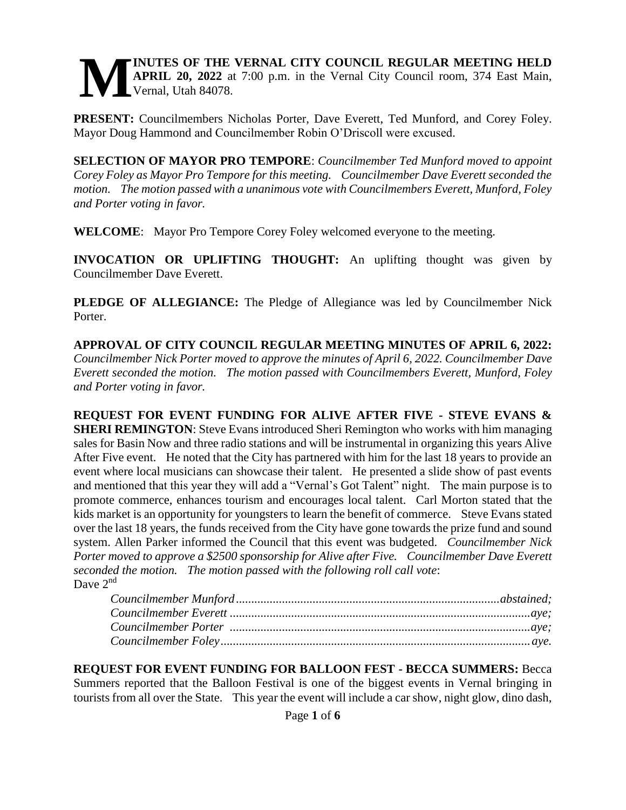#### **INUTES OF THE VERNAL CITY COUNCIL REGULAR MEETING HELD APRIL 20, 2022** at 7:00 p.m. in the Vernal City Council room, 374 East Main, Vernal, Utah 84078. **M**

**PRESENT:** Councilmembers Nicholas Porter, Dave Everett, Ted Munford, and Corey Foley. Mayor Doug Hammond and Councilmember Robin O'Driscoll were excused.

**SELECTION OF MAYOR PRO TEMPORE**: *Councilmember Ted Munford moved to appoint Corey Foley as Mayor Pro Tempore for this meeting. Councilmember Dave Everett seconded the motion. The motion passed with a unanimous vote with Councilmembers Everett, Munford, Foley and Porter voting in favor.* 

**WELCOME**: Mayor Pro Tempore Corey Foley welcomed everyone to the meeting.

**INVOCATION OR UPLIFTING THOUGHT:** An uplifting thought was given by Councilmember Dave Everett.

**PLEDGE OF ALLEGIANCE:** The Pledge of Allegiance was led by Councilmember Nick Porter.

**APPROVAL OF CITY COUNCIL REGULAR MEETING MINUTES OF APRIL 6, 2022:**  *Councilmember Nick Porter moved to approve the minutes of April 6, 2022. Councilmember Dave Everett seconded the motion. The motion passed with Councilmembers Everett, Munford, Foley and Porter voting in favor.* 

**REQUEST FOR EVENT FUNDING FOR ALIVE AFTER FIVE - STEVE EVANS & SHERI REMINGTON**: Steve Evans introduced Sheri Remington who works with him managing sales for Basin Now and three radio stations and will be instrumental in organizing this years Alive After Five event. He noted that the City has partnered with him for the last 18 years to provide an event where local musicians can showcase their talent. He presented a slide show of past events and mentioned that this year they will add a "Vernal's Got Talent" night. The main purpose is to promote commerce, enhances tourism and encourages local talent. Carl Morton stated that the kids market is an opportunity for youngsters to learn the benefit of commerce. Steve Evans stated over the last 18 years, the funds received from the City have gone towards the prize fund and sound system. Allen Parker informed the Council that this event was budgeted. *Councilmember Nick Porter moved to approve a \$2500 sponsorship for Alive after Five. Councilmember Dave Everett seconded the motion. The motion passed with the following roll call vote*: Dave  $2^{nd}$ 

**REQUEST FOR EVENT FUNDING FOR BALLOON FEST - BECCA SUMMERS:** Becca Summers reported that the Balloon Festival is one of the biggest events in Vernal bringing in tourists from all over the State. This year the event will include a car show, night glow, dino dash,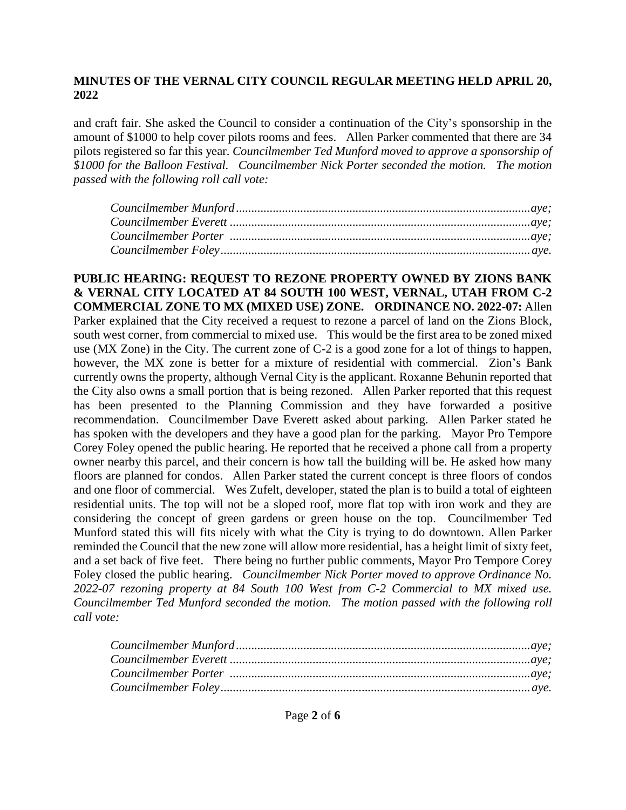and craft fair. She asked the Council to consider a continuation of the City's sponsorship in the amount of \$1000 to help cover pilots rooms and fees. Allen Parker commented that there are 34 pilots registered so far this year. *Councilmember Ted Munford moved to approve a sponsorship of \$1000 for the Balloon Festival. Councilmember Nick Porter seconded the motion. The motion passed with the following roll call vote:*

**PUBLIC HEARING: REQUEST TO REZONE PROPERTY OWNED BY ZIONS BANK & VERNAL CITY LOCATED AT 84 SOUTH 100 WEST, VERNAL, UTAH FROM C-2 COMMERCIAL ZONE TO MX (MIXED USE) ZONE. ORDINANCE NO. 2022-07:** Allen Parker explained that the City received a request to rezone a parcel of land on the Zions Block, south west corner, from commercial to mixed use. This would be the first area to be zoned mixed use (MX Zone) in the City. The current zone of C-2 is a good zone for a lot of things to happen, however, the MX zone is better for a mixture of residential with commercial. Zion's Bank currently owns the property, although Vernal City is the applicant. Roxanne Behunin reported that the City also owns a small portion that is being rezoned. Allen Parker reported that this request has been presented to the Planning Commission and they have forwarded a positive recommendation. Councilmember Dave Everett asked about parking. Allen Parker stated he has spoken with the developers and they have a good plan for the parking. Mayor Pro Tempore Corey Foley opened the public hearing. He reported that he received a phone call from a property owner nearby this parcel, and their concern is how tall the building will be. He asked how many floors are planned for condos. Allen Parker stated the current concept is three floors of condos and one floor of commercial. Wes Zufelt, developer, stated the plan is to build a total of eighteen residential units. The top will not be a sloped roof, more flat top with iron work and they are considering the concept of green gardens or green house on the top. Councilmember Ted Munford stated this will fits nicely with what the City is trying to do downtown. Allen Parker reminded the Council that the new zone will allow more residential, has a height limit of sixty feet, and a set back of five feet. There being no further public comments, Mayor Pro Tempore Corey Foley closed the public hearing. *Councilmember Nick Porter moved to approve Ordinance No. 2022-07 rezoning property at 84 South 100 West from C-2 Commercial to MX mixed use. Councilmember Ted Munford seconded the motion. The motion passed with the following roll call vote:*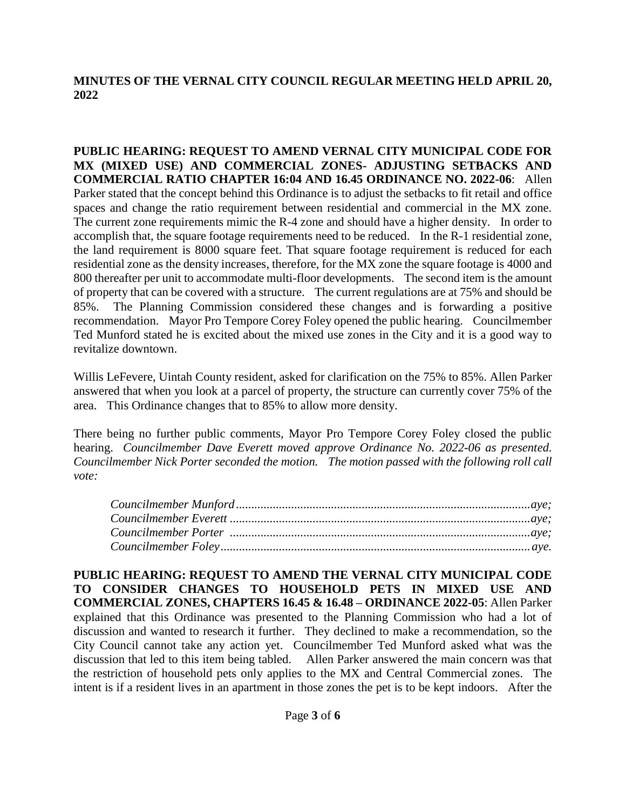**PUBLIC HEARING: REQUEST TO AMEND VERNAL CITY MUNICIPAL CODE FOR MX (MIXED USE) AND COMMERCIAL ZONES- ADJUSTING SETBACKS AND COMMERCIAL RATIO CHAPTER 16:04 AND 16.45 ORDINANCE NO. 2022-06**: Allen Parker stated that the concept behind this Ordinance is to adjust the setbacks to fit retail and office spaces and change the ratio requirement between residential and commercial in the MX zone. The current zone requirements mimic the R-4 zone and should have a higher density. In order to accomplish that, the square footage requirements need to be reduced. In the R-1 residential zone, the land requirement is 8000 square feet. That square footage requirement is reduced for each residential zone as the density increases, therefore, for the MX zone the square footage is 4000 and 800 thereafter per unit to accommodate multi-floor developments. The second item is the amount of property that can be covered with a structure. The current regulations are at 75% and should be 85%. The Planning Commission considered these changes and is forwarding a positive recommendation. Mayor Pro Tempore Corey Foley opened the public hearing. Councilmember Ted Munford stated he is excited about the mixed use zones in the City and it is a good way to revitalize downtown.

Willis LeFevere, Uintah County resident, asked for clarification on the 75% to 85%. Allen Parker answered that when you look at a parcel of property, the structure can currently cover 75% of the area. This Ordinance changes that to 85% to allow more density.

There being no further public comments, Mayor Pro Tempore Corey Foley closed the public hearing. *Councilmember Dave Everett moved approve Ordinance No. 2022-06 as presented. Councilmember Nick Porter seconded the motion. The motion passed with the following roll call vote:* 

**PUBLIC HEARING: REQUEST TO AMEND THE VERNAL CITY MUNICIPAL CODE TO CONSIDER CHANGES TO HOUSEHOLD PETS IN MIXED USE AND COMMERCIAL ZONES, CHAPTERS 16.45 & 16.48 – ORDINANCE 2022-05**: Allen Parker explained that this Ordinance was presented to the Planning Commission who had a lot of discussion and wanted to research it further. They declined to make a recommendation, so the City Council cannot take any action yet. Councilmember Ted Munford asked what was the discussion that led to this item being tabled. Allen Parker answered the main concern was that the restriction of household pets only applies to the MX and Central Commercial zones. The intent is if a resident lives in an apartment in those zones the pet is to be kept indoors. After the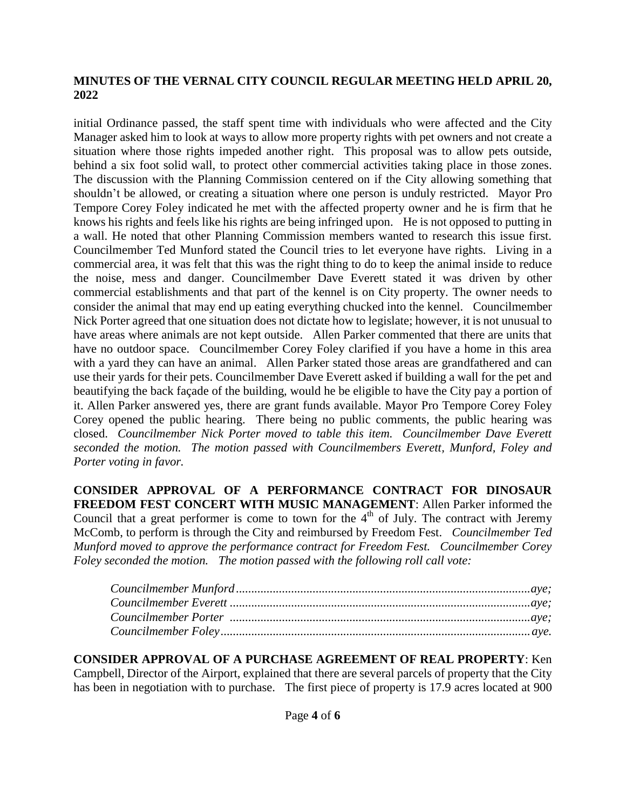initial Ordinance passed, the staff spent time with individuals who were affected and the City Manager asked him to look at ways to allow more property rights with pet owners and not create a situation where those rights impeded another right. This proposal was to allow pets outside, behind a six foot solid wall, to protect other commercial activities taking place in those zones. The discussion with the Planning Commission centered on if the City allowing something that shouldn't be allowed, or creating a situation where one person is unduly restricted. Mayor Pro Tempore Corey Foley indicated he met with the affected property owner and he is firm that he knows his rights and feels like his rights are being infringed upon. He is not opposed to putting in a wall. He noted that other Planning Commission members wanted to research this issue first. Councilmember Ted Munford stated the Council tries to let everyone have rights. Living in a commercial area, it was felt that this was the right thing to do to keep the animal inside to reduce the noise, mess and danger. Councilmember Dave Everett stated it was driven by other commercial establishments and that part of the kennel is on City property. The owner needs to consider the animal that may end up eating everything chucked into the kennel. Councilmember Nick Porter agreed that one situation does not dictate how to legislate; however, it is not unusual to have areas where animals are not kept outside. Allen Parker commented that there are units that have no outdoor space. Councilmember Corey Foley clarified if you have a home in this area with a yard they can have an animal. Allen Parker stated those areas are grandfathered and can use their yards for their pets. Councilmember Dave Everett asked if building a wall for the pet and beautifying the back façade of the building, would he be eligible to have the City pay a portion of it. Allen Parker answered yes, there are grant funds available. Mayor Pro Tempore Corey Foley Corey opened the public hearing. There being no public comments, the public hearing was closed. *Councilmember Nick Porter moved to table this item. Councilmember Dave Everett seconded the motion. The motion passed with Councilmembers Everett, Munford, Foley and Porter voting in favor.* 

**CONSIDER APPROVAL OF A PERFORMANCE CONTRACT FOR DINOSAUR FREEDOM FEST CONCERT WITH MUSIC MANAGEMENT**: Allen Parker informed the Council that a great performer is come to town for the  $4<sup>th</sup>$  of July. The contract with Jeremy McComb, to perform is through the City and reimbursed by Freedom Fest. *Councilmember Ted Munford moved to approve the performance contract for Freedom Fest. Councilmember Corey Foley seconded the motion. The motion passed with the following roll call vote:*

**CONSIDER APPROVAL OF A PURCHASE AGREEMENT OF REAL PROPERTY**: Ken Campbell, Director of the Airport, explained that there are several parcels of property that the City has been in negotiation with to purchase. The first piece of property is 17.9 acres located at 900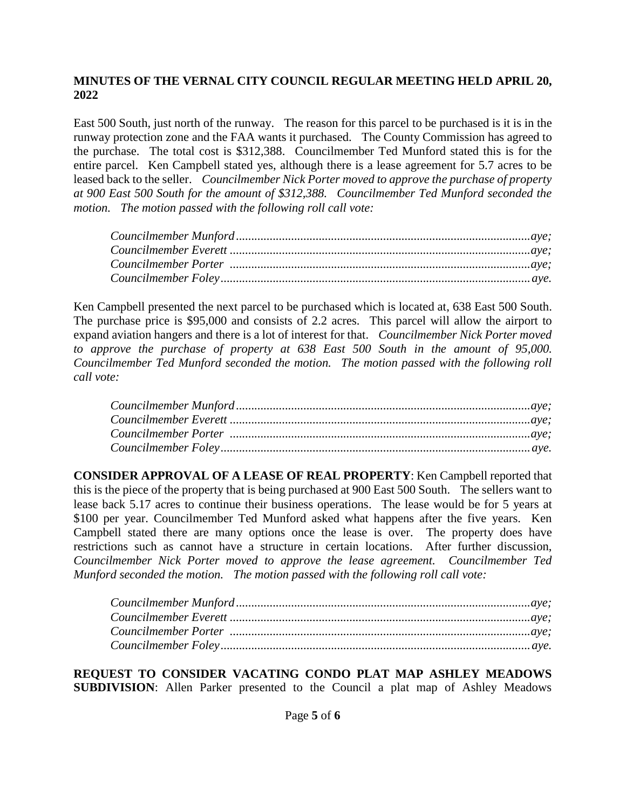East 500 South, just north of the runway. The reason for this parcel to be purchased is it is in the runway protection zone and the FAA wants it purchased. The County Commission has agreed to the purchase. The total cost is \$312,388. Councilmember Ted Munford stated this is for the entire parcel. Ken Campbell stated yes, although there is a lease agreement for 5.7 acres to be leased back to the seller. *Councilmember Nick Porter moved to approve the purchase of property at 900 East 500 South for the amount of \$312,388. Councilmember Ted Munford seconded the motion. The motion passed with the following roll call vote:* 

| ${Council member\,Munford.\,}\label{Councilmember}\qquad {\rm Munford.\,}\qquad {\rm Munford.\,}\qquad {\rm Munford.\,}\qquad {\rm Munford.\,}\qquad {\rm Munford.\,}\qquad {\rm Munford.\,}\qquad {\rm Munford.\,}\qquad {\rm Munford.\,}\qquad {\rm Munford.\,}\qquad {\rm Munford.\,}\qquad {\rm Munford.\,}\qquad {\rm Munford.\,}\qquad {\rm Munford.\,}\qquad {\rm Munford.\,}\qquad {\rm Munford.\,}\qquad {\rm Munford.\,}\qquad {\rm Munford.\,}\qquad {\rm Munford.\,}\qquad {\rm Munford.\,}\qquad {\rm Munford.\$ |  |
|-------------------------------------------------------------------------------------------------------------------------------------------------------------------------------------------------------------------------------------------------------------------------------------------------------------------------------------------------------------------------------------------------------------------------------------------------------------------------------------------------------------------------------|--|
|                                                                                                                                                                                                                                                                                                                                                                                                                                                                                                                               |  |
|                                                                                                                                                                                                                                                                                                                                                                                                                                                                                                                               |  |
|                                                                                                                                                                                                                                                                                                                                                                                                                                                                                                                               |  |

Ken Campbell presented the next parcel to be purchased which is located at, 638 East 500 South. The purchase price is \$95,000 and consists of 2.2 acres. This parcel will allow the airport to expand aviation hangers and there is a lot of interest for that. *Councilmember Nick Porter moved to approve the purchase of property at 638 East 500 South in the amount of 95,000. Councilmember Ted Munford seconded the motion. The motion passed with the following roll call vote:* 

**CONSIDER APPROVAL OF A LEASE OF REAL PROPERTY**: Ken Campbell reported that this is the piece of the property that is being purchased at 900 East 500 South. The sellers want to lease back 5.17 acres to continue their business operations. The lease would be for 5 years at \$100 per year. Councilmember Ted Munford asked what happens after the five years. Ken Campbell stated there are many options once the lease is over. The property does have restrictions such as cannot have a structure in certain locations. After further discussion, *Councilmember Nick Porter moved to approve the lease agreement. Councilmember Ted Munford seconded the motion. The motion passed with the following roll call vote:* 

**REQUEST TO CONSIDER VACATING CONDO PLAT MAP ASHLEY MEADOWS SUBDIVISION**: Allen Parker presented to the Council a plat map of Ashley Meadows